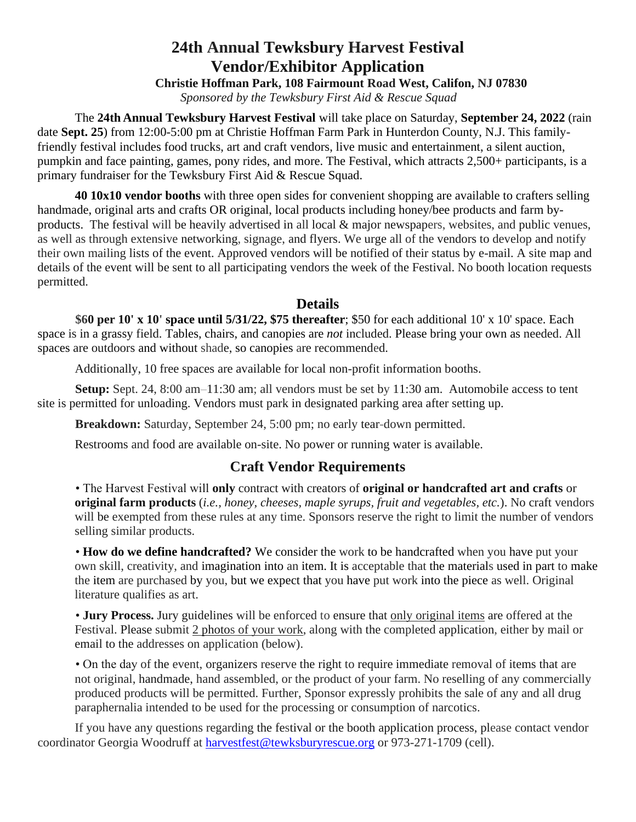## **24th Annual Tewksbury Harvest Festival Vendor/Exhibitor Application**

**Christie Hoffman Park, 108 Fairmount Road West, Califon, NJ 07830**  *Sponsored by the Tewksbury First Aid & Rescue Squad* 

The **24th Annual Tewksbury Harvest Festival** will take place on Saturday, **September 24, 2022** (rain date **Sept. 25**) from 12:00-5:00 pm at Christie Hoffman Farm Park in Hunterdon County, N.J. This familyfriendly festival includes food trucks, art and craft vendors, live music and entertainment, a silent auction, pumpkin and face painting, games, pony rides, and more. The Festival, which attracts 2,500+ participants, is a primary fundraiser for the Tewksbury First Aid & Rescue Squad.

**40 10x10 vendor booths** with three open sides for convenient shopping are available to crafters selling handmade, original arts and crafts OR original, local products including honey/bee products and farm byproducts. The festival will be heavily advertised in all local & major newspapers, websites, and public venues, as well as through extensive networking, signage, and flyers. We urge all of the vendors to develop and notify their own mailing lists of the event. Approved vendors will be notified of their status by e-mail. A site map and details of the event will be sent to all participating vendors the week of the Festival. No booth location requests permitted.

## **Details**

**\$60 per 10' x 10' space until 5/31/22, \$75 thereafter**; \$50 for each additional 10' x 10' space. Each space is in a grassy field. Tables, chairs, and canopies are *not* included. Please bring your own as needed. All spaces are outdoors and without shade, so canopies are recommended.

Additionally, 10 free spaces are available for local non-profit information booths.

**Setup:** Sept. 24, 8:00 am–11:30 am; all vendors must be set by 11:30 am. Automobile access to tent site is permitted for unloading. Vendors must park in designated parking area after setting up.

**Breakdown:** Saturday, September 24, 5:00 pm; no early tear-down permitted.

Restrooms and food are available on-site. No power or running water is available.

## **Craft Vendor Requirements**

• The Harvest Festival will **only** contract with creators of **original or handcrafted art and crafts** or **original farm products** (*i.e., honey, cheeses, maple syrups, fruit and vegetables, etc.*). No craft vendors will be exempted from these rules at any time. Sponsors reserve the right to limit the number of vendors selling similar products.

• **How do we define handcrafted?** We consider the work to be handcrafted when you have put your own skill, creativity, and imagination into an item. It is acceptable that the materials used in part to make the item are purchased by you, but we expect that you have put work into the piece as well. Original literature qualifies as art.

• **Jury Process.** Jury guidelines will be enforced to ensure that only original items are offered at the Festival. Please submit 2 photos of your work, along with the completed application, either by mail or email to the addresses on application (below).

• On the day of the event, organizers reserve the right to require immediate removal of items that are not original, handmade, hand assembled, or the product of your farm. No reselling of any commercially produced products will be permitted. Further, Sponsor expressly prohibits the sale of any and all drug paraphernalia intended to be used for the processing or consumption of narcotics.

If you have any questions regarding the festival or the booth application process, please contact vendor coordinator Georgia Woodruff at [harvestfest@tewksburyrescue.org](mailto:harvestfest@tewksburyrescue.org) or 973-271-1709 (cell).